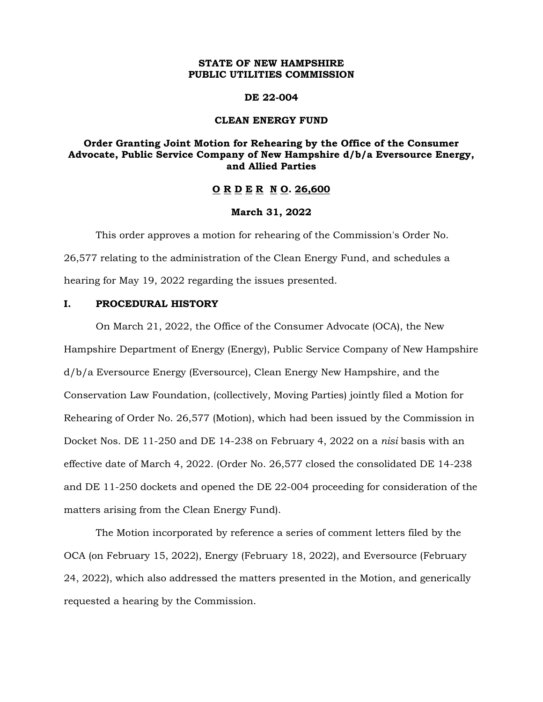### **STATE OF NEW HAMPSHIRE PUBLIC UTILITIES COMMISSION**

#### **DE 22-004**

#### **CLEAN ENERGY FUND**

# **Order Granting Joint Motion for Rehearing by the Office of the Consumer Advocate, Public Service Company of New Hampshire d/b/a Eversource Energy, and Allied Parties**

#### **O R D E R N O. 26,600**

#### **March 31, 2022**

This order approves a motion for rehearing of the Commission's Order No. 26,577 relating to the administration of the Clean Energy Fund, and schedules a hearing for May 19, 2022 regarding the issues presented.

#### **I. PROCEDURAL HISTORY**

On March 21, 2022, the Office of the Consumer Advocate (OCA), the New Hampshire Department of Energy (Energy), Public Service Company of New Hampshire d/b/a Eversource Energy (Eversource), Clean Energy New Hampshire, and the Conservation Law Foundation, (collectively, Moving Parties) jointly filed a Motion for Rehearing of Order No. 26,577 (Motion), which had been issued by the Commission in Docket Nos. DE 11-250 and DE 14-238 on February 4, 2022 on a *nisi* basis with an effective date of March 4, 2022. (Order No. 26,577 closed the consolidated DE 14-238 and DE 11-250 dockets and opened the DE 22-004 proceeding for consideration of the matters arising from the Clean Energy Fund).

The Motion incorporated by reference a series of comment letters filed by the OCA (on February 15, 2022), Energy (February 18, 2022), and Eversource (February 24, 2022), which also addressed the matters presented in the Motion, and generically requested a hearing by the Commission.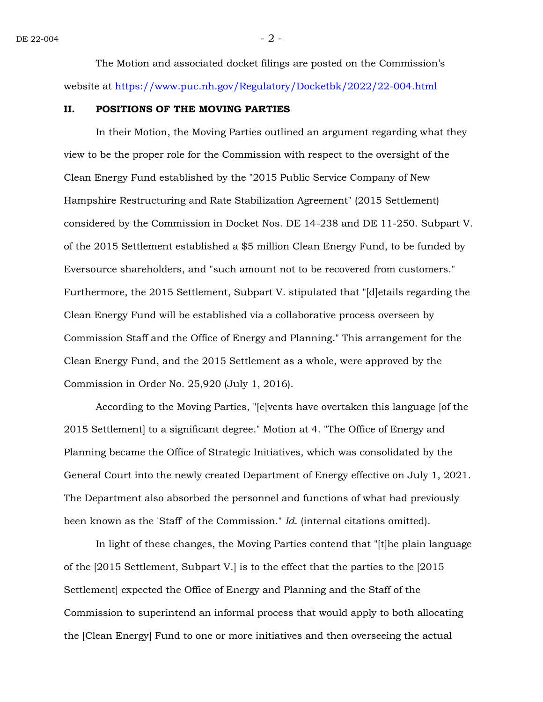The Motion and associated docket filings are posted on the Commission's website at<https://www.puc.nh.gov/Regulatory/Docketbk/2022/22-004.html>

#### **II. POSITIONS OF THE MOVING PARTIES**

In their Motion, the Moving Parties outlined an argument regarding what they view to be the proper role for the Commission with respect to the oversight of the Clean Energy Fund established by the "2015 Public Service Company of New Hampshire Restructuring and Rate Stabilization Agreement" (2015 Settlement) considered by the Commission in Docket Nos. DE 14-238 and DE 11-250. Subpart V. of the 2015 Settlement established a \$5 million Clean Energy Fund, to be funded by Eversource shareholders, and "such amount not to be recovered from customers." Furthermore, the 2015 Settlement, Subpart V. stipulated that "[d]etails regarding the Clean Energy Fund will be established via a collaborative process overseen by Commission Staff and the Office of Energy and Planning." This arrangement for the Clean Energy Fund, and the 2015 Settlement as a whole, were approved by the Commission in Order No. 25,920 (July 1, 2016).

According to the Moving Parties, "[e]vents have overtaken this language [of the 2015 Settlement] to a significant degree." Motion at 4. "The Office of Energy and Planning became the Office of Strategic Initiatives, which was consolidated by the General Court into the newly created Department of Energy effective on July 1, 2021. The Department also absorbed the personnel and functions of what had previously been known as the 'Staff' of the Commission." *Id*. (internal citations omitted).

In light of these changes, the Moving Parties contend that "[t]he plain language of the [2015 Settlement, Subpart V.] is to the effect that the parties to the [2015 Settlement] expected the Office of Energy and Planning and the Staff of the Commission to superintend an informal process that would apply to both allocating the [Clean Energy] Fund to one or more initiatives and then overseeing the actual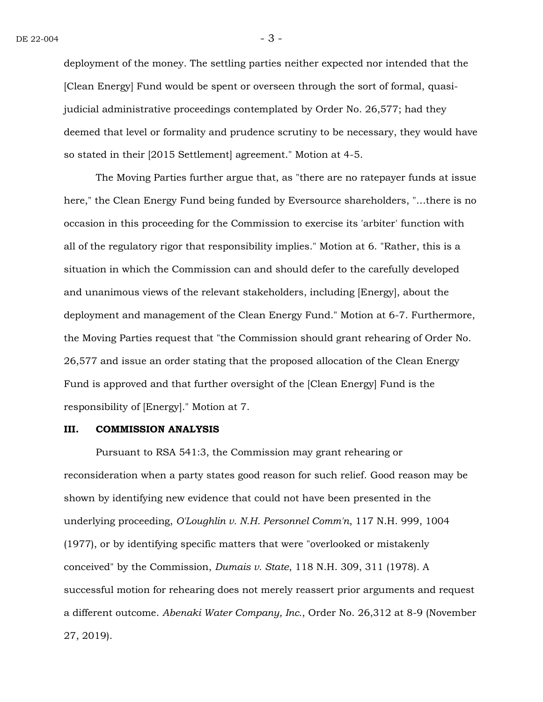deployment of the money. The settling parties neither expected nor intended that the [Clean Energy] Fund would be spent or overseen through the sort of formal, quasijudicial administrative proceedings contemplated by Order No. 26,577; had they deemed that level or formality and prudence scrutiny to be necessary, they would have so stated in their [2015 Settlement] agreement." Motion at 4-5.

The Moving Parties further argue that, as "there are no ratepayer funds at issue here," the Clean Energy Fund being funded by Eversource shareholders, "…there is no occasion in this proceeding for the Commission to exercise its 'arbiter' function with all of the regulatory rigor that responsibility implies." Motion at 6. "Rather, this is a situation in which the Commission can and should defer to the carefully developed and unanimous views of the relevant stakeholders, including [Energy], about the deployment and management of the Clean Energy Fund." Motion at 6-7. Furthermore, the Moving Parties request that "the Commission should grant rehearing of Order No. 26,577 and issue an order stating that the proposed allocation of the Clean Energy Fund is approved and that further oversight of the [Clean Energy] Fund is the responsibility of [Energy]." Motion at 7.

#### **III. COMMISSION ANALYSIS**

Pursuant to RSA 541:3, the Commission may grant rehearing or reconsideration when a party states good reason for such relief. Good reason may be shown by identifying new evidence that could not have been presented in the underlying proceeding, *O'Loughlin v. N.H. Personnel Comm'n*, 117 N.H. 999, 1004 (1977), or by identifying specific matters that were "overlooked or mistakenly conceived" by the Commission, *Dumais v. State*, 118 N.H. 309, 311 (1978). A successful motion for rehearing does not merely reassert prior arguments and request a different outcome. *Abenaki Water Company, Inc.*, Order No. 26,312 at 8-9 (November 27, 2019).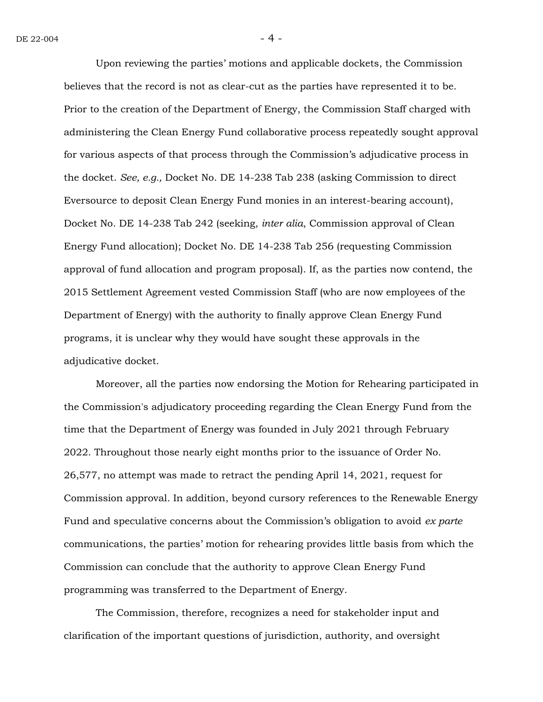Upon reviewing the parties' motions and applicable dockets, the Commission believes that the record is not as clear-cut as the parties have represented it to be. Prior to the creation of the Department of Energy, the Commission Staff charged with administering the Clean Energy Fund collaborative process repeatedly sought approval for various aspects of that process through the Commission's adjudicative process in the docket. *See, e.g.,* Docket No. DE 14-238 Tab 238 (asking Commission to direct Eversource to deposit Clean Energy Fund monies in an interest-bearing account), Docket No. DE 14-238 Tab 242 (seeking, *inter alia*, Commission approval of Clean Energy Fund allocation); Docket No. DE 14-238 Tab 256 (requesting Commission approval of fund allocation and program proposal). If, as the parties now contend, the 2015 Settlement Agreement vested Commission Staff (who are now employees of the Department of Energy) with the authority to finally approve Clean Energy Fund programs, it is unclear why they would have sought these approvals in the adjudicative docket.

Moreover, all the parties now endorsing the Motion for Rehearing participated in the Commission's adjudicatory proceeding regarding the Clean Energy Fund from the time that the Department of Energy was founded in July 2021 through February 2022. Throughout those nearly eight months prior to the issuance of Order No. 26,577, no attempt was made to retract the pending April 14, 2021, request for Commission approval. In addition, beyond cursory references to the Renewable Energy Fund and speculative concerns about the Commission's obligation to avoid *ex parte* communications, the parties' motion for rehearing provides little basis from which the Commission can conclude that the authority to approve Clean Energy Fund programming was transferred to the Department of Energy.

The Commission, therefore, recognizes a need for stakeholder input and clarification of the important questions of jurisdiction, authority, and oversight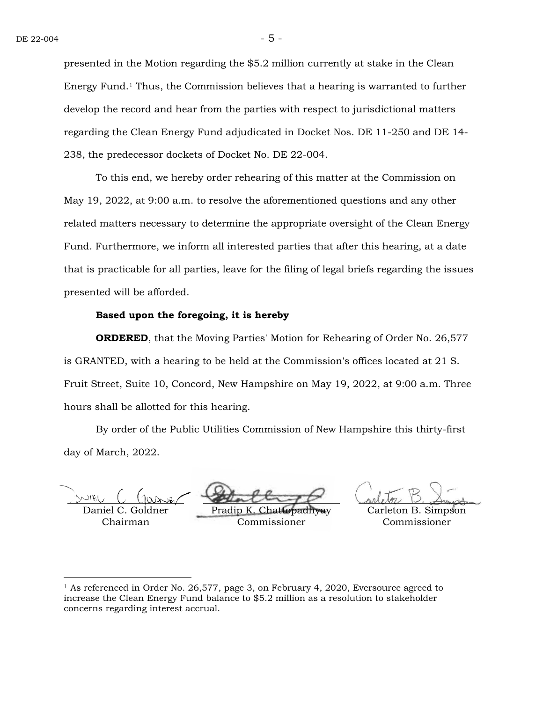presented in the Motion regarding the \$5.2 million currently at stake in the Clean Energy Fund.<sup>1</sup> Thus, the Commission believes that a hearing is warranted to further develop the record and hear from the parties with respect to jurisdictional matters regarding the Clean Energy Fund adjudicated in Docket Nos. DE 11-250 and DE 14- 238, the predecessor dockets of Docket No. DE 22-004.

To this end, we hereby order rehearing of this matter at the Commission on May 19, 2022, at 9:00 a.m. to resolve the aforementioned questions and any other related matters necessary to determine the appropriate oversight of the Clean Energy Fund. Furthermore, we inform all interested parties that after this hearing, at a date that is practicable for all parties, leave for the filing of legal briefs regarding the issues presented will be afforded.

## **Based upon the foregoing, it is hereby**

**ORDERED**, that the Moving Parties' Motion for Rehearing of Order No. 26,577 is GRANTED, with a hearing to be held at the Commission's offices located at 21 S. Fruit Street, Suite 10, Concord, New Hampshire on May 19, 2022, at 9:00 a.m. Three hours shall be allotted for this hearing.

By order of the Public Utilities Commission of New Hampshire this thirty-first day of March, 2022.

Daniel C. Goldner Chairman

Pradip K Commissioner

Carleton B. Simpson Commissioner

<sup>&</sup>lt;sup>1</sup> As referenced in Order No. 26,577, page 3, on February 4, 2020, Eversource agreed to increase the Clean Energy Fund balance to \$5.2 million as a resolution to stakeholder concerns regarding interest accrual.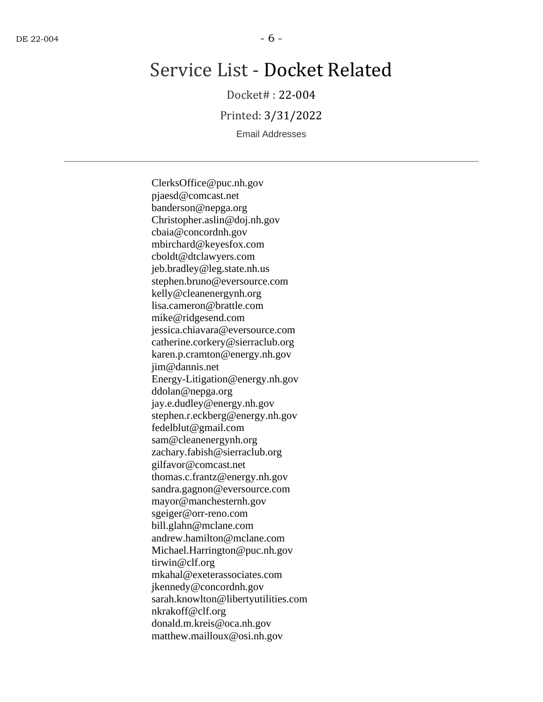# Service List - Docket Related

Docket# : 22-004

Printed: 3/31/2022

Email Addresses

ClerksOffice@puc.nh.gov pjaesd@comcast.net banderson@nepga.org Christopher.aslin@doj.nh.gov cbaia@concordnh.gov mbirchard@keyesfox.com cboldt@dtclawyers.com jeb.bradley@leg.state.nh.us stephen.bruno@eversource.com kelly@cleanenergynh.org lisa.cameron@brattle.com mike@ridgesend.com jessica.chiavara@eversource.com catherine.corkery@sierraclub.org karen.p.cramton@energy.nh.gov jim@dannis.net Energy-Litigation@energy.nh.gov ddolan@nepga.org jay.e.dudley@energy.nh.gov stephen.r.eckberg@energy.nh.gov fedelblut@gmail.com sam@cleanenergynh.org zachary.fabish@sierraclub.org gilfavor@comcast.net thomas.c.frantz@energy.nh.gov sandra.gagnon@eversource.com mayor@manchesternh.gov sgeiger@orr-reno.com bill.glahn@mclane.com andrew.hamilton@mclane.com Michael.Harrington@puc.nh.gov tirwin@clf.org mkahal@exeterassociates.com jkennedy@concordnh.gov sarah.knowlton@libertyutilities.com nkrakoff@clf.org donald.m.kreis@oca.nh.gov matthew.mailloux@osi.nh.gov